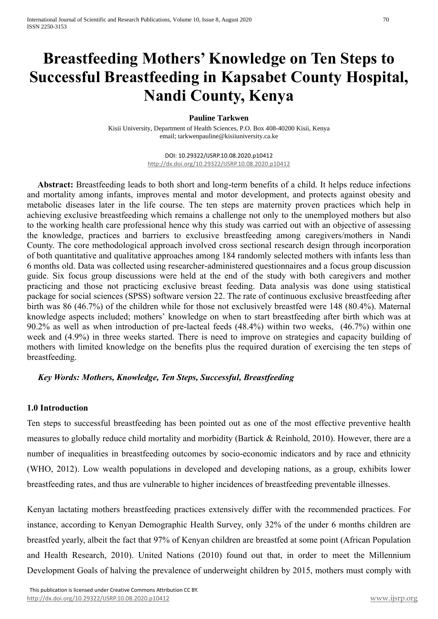# **Breastfeeding Mothers' Knowledge on Ten Steps to Successful Breastfeeding in Kapsabet County Hospital, Nandi County, Kenya**

#### **Pauline Tarkwen**

Kisii University, Department of Health Sciences, P.O. Box 408-40200 Kisii, Kenya email; [tarkwenpauline@kisiiuniversity.ca.ke](mailto:tarkwenpauline@kisiiuniversity.ca.ke)

> DOI: 10.29322/IJSRP.10.08.2020.p10412 <http://dx.doi.org/10.29322/IJSRP.10.08.2020.p10412>

 **Abstract:** Breastfeeding leads to both short and long-term benefits of a child. It helps reduce infections and mortality among infants, improves mental and motor development, and protects against obesity and metabolic diseases later in the life course. The ten steps are maternity proven practices which help in achieving exclusive breastfeeding which remains a challenge not only to the unemployed mothers but also to the working health care professional hence why this study was carried out with an objective of assessing the knowledge, practices and barriers to exclusive breastfeeding among caregivers/mothers in Nandi County. The core methodological approach involved cross sectional research design through incorporation of both quantitative and qualitative approaches among 184 randomly selected mothers with infants less than 6 months old. Data was collected using researcher-administered questionnaires and a focus group discussion guide. Six focus group discussions were held at the end of the study with both caregivers and mother practicing and those not practicing exclusive breast feeding. Data analysis was done using statistical package for social sciences (SPSS) software version 22. The rate of continuous exclusive breastfeeding after birth was 86 (46.7%) of the children while for those not exclusively breastfed were 148 (80.4%). Maternal knowledge aspects included; mothers' knowledge on when to start breastfeeding after birth which was at 90.2% as well as when introduction of pre-lacteal feeds (48.4%) within two weeks, (46.7%) within one week and (4.9%) in three weeks started. There is need to improve on strategies and capacity building of mothers with limited knowledge on the benefits plus the required duration of exercising the ten steps of breastfeeding.

## *Key Words: Mothers, Knowledge, Ten Steps, Successful, Breastfeeding*

## **1.0 Introduction**

Ten steps to successful breastfeeding has been pointed out as one of the most effective preventive health measures to globally reduce child mortality and morbidity (Bartick & Reinhold, 2010). However, there are a number of inequalities in breastfeeding outcomes by socio-economic indicators and by race and ethnicity (WHO, 2012). Low wealth populations in developed and developing nations, as a group, exhibits lower breastfeeding rates, and thus are vulnerable to higher incidences of breastfeeding preventable illnesses.

Kenyan lactating mothers breastfeeding practices extensively differ with the recommended practices. For instance, according to Kenyan Demographic Health Survey, only 32% of the under 6 months children are breastfed yearly, albeit the fact that 97% of Kenyan children are breastfed at some point (African Population and Health Research, 2010). United Nations (2010) found out that, in order to meet the Millennium Development Goals of halving the prevalence of underweight children by 2015, mothers must comply with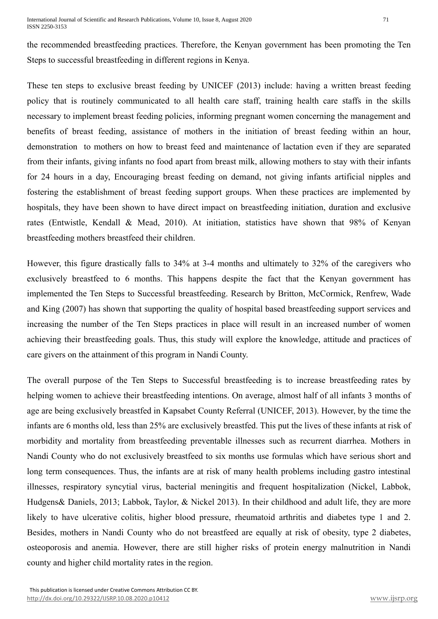the recommended breastfeeding practices. Therefore, the Kenyan government has been promoting the Ten Steps to successful breastfeeding in different regions in Kenya.

These ten steps to exclusive breast feeding by UNICEF (2013) include: having a written breast feeding policy that is routinely communicated to all health care staff, training health care staffs in the skills necessary to implement breast feeding policies, informing pregnant women concerning the management and benefits of breast feeding, assistance of mothers in the initiation of breast feeding within an hour, demonstration to mothers on how to breast feed and maintenance of lactation even if they are separated from their infants, giving infants no food apart from breast milk, allowing mothers to stay with their infants for 24 hours in a day, Encouraging breast feeding on demand, not giving infants artificial nipples and fostering the establishment of breast feeding support groups. When these practices are implemented by hospitals, they have been shown to have direct impact on breastfeeding initiation, duration and exclusive rates (Entwistle, Kendall & Mead, 2010). At initiation, statistics have shown that 98% of Kenyan breastfeeding mothers breastfeed their children.

However, this figure drastically falls to 34% at 3-4 months and ultimately to 32% of the caregivers who exclusively breastfeed to 6 months. This happens despite the fact that the Kenyan government has implemented the Ten Steps to Successful breastfeeding. Research by Britton, McCormick, Renfrew, Wade and King (2007) has shown that supporting the quality of hospital based breastfeeding support services and increasing the number of the Ten Steps practices in place will result in an increased number of women achieving their breastfeeding goals. Thus, this study will explore the knowledge, attitude and practices of care givers on the attainment of this program in Nandi County.

The overall purpose of the Ten Steps to Successful breastfeeding is to increase breastfeeding rates by helping women to achieve their breastfeeding intentions. On average, almost half of all infants 3 months of age are being exclusively breastfed in Kapsabet County Referral (UNICEF, 2013). However, by the time the infants are 6 months old, less than 25% are exclusively breastfed. This put the lives of these infants at risk of morbidity and mortality from breastfeeding preventable illnesses such as recurrent diarrhea. Mothers in Nandi County who do not exclusively breastfeed to six months use formulas which have serious short and long term consequences. Thus, the infants are at risk of many health problems including gastro intestinal illnesses, respiratory syncytial virus, bacterial meningitis and frequent hospitalization (Nickel, Labbok, Hudgens& Daniels, 2013; Labbok, Taylor, & Nickel 2013). In their childhood and adult life, they are more likely to have ulcerative colitis, higher blood pressure, rheumatoid arthritis and diabetes type 1 and 2. Besides, mothers in Nandi County who do not breastfeed are equally at risk of obesity, type 2 diabetes, osteoporosis and anemia. However, there are still higher risks of protein energy malnutrition in Nandi county and higher child mortality rates in the region.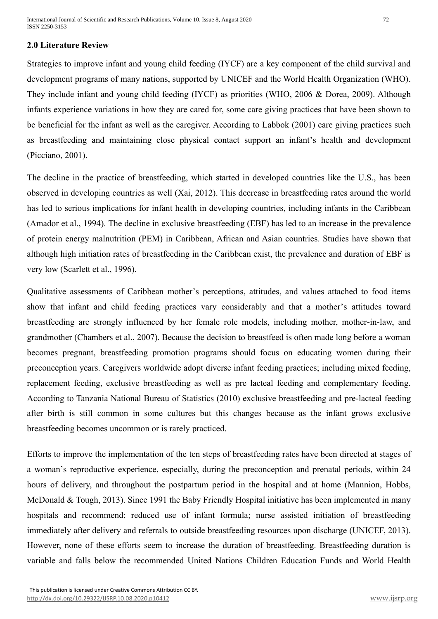# **2.0 Literature Review**

Strategies to improve infant and young child feeding (IYCF) are a key component of the child survival and development programs of many nations, supported by UNICEF and the World Health Organization (WHO). They include infant and young child feeding (IYCF) as priorities (WHO, 2006 & Dorea, 2009). Although infants experience variations in how they are cared for, some care giving practices that have been shown to be beneficial for the infant as well as the caregiver. According to Labbok (2001) care giving practices such as breastfeeding and maintaining close physical contact support an infant's health and development (Picciano, 2001).

The decline in the practice of breastfeeding, which started in developed countries like the U.S., has been observed in developing countries as well (Xai, 2012). This decrease in breastfeeding rates around the world has led to serious implications for infant health in developing countries, including infants in the Caribbean (Amador et al., 1994). The decline in exclusive breastfeeding (EBF) has led to an increase in the prevalence of protein energy malnutrition (PEM) in Caribbean, African and Asian countries. Studies have shown that although high initiation rates of breastfeeding in the Caribbean exist, the prevalence and duration of EBF is very low (Scarlett et al., 1996).

Qualitative assessments of Caribbean mother's perceptions, attitudes, and values attached to food items show that infant and child feeding practices vary considerably and that a mother's attitudes toward breastfeeding are strongly influenced by her female role models, including mother, mother-in-law, and grandmother (Chambers et al., 2007). Because the decision to breastfeed is often made long before a woman becomes pregnant, breastfeeding promotion programs should focus on educating women during their preconception years. Caregivers worldwide adopt diverse infant feeding practices; including mixed feeding, replacement feeding, exclusive breastfeeding as well as pre lacteal feeding and complementary feeding. According to Tanzania National Bureau of Statistics (2010) exclusive breastfeeding and pre-lacteal feeding after birth is still common in some cultures but this changes because as the infant grows exclusive breastfeeding becomes uncommon or is rarely practiced.

Efforts to improve the implementation of the ten steps of breastfeeding rates have been directed at stages of a woman's reproductive experience, especially, during the preconception and prenatal periods, within 24 hours of delivery, and throughout the postpartum period in the hospital and at home (Mannion, Hobbs, McDonald & Tough, 2013). Since 1991 the Baby Friendly Hospital initiative has been implemented in many hospitals and recommend; reduced use of infant formula; nurse assisted initiation of breastfeeding immediately after delivery and referrals to outside breastfeeding resources upon discharge (UNICEF, 2013). However, none of these efforts seem to increase the duration of breastfeeding. Breastfeeding duration is variable and falls below the recommended United Nations Children Education Funds and World Health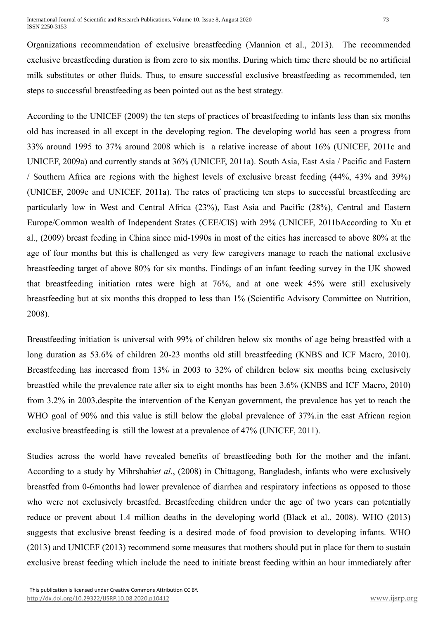International Journal of Scientific and Research Publications, Volume 10, Issue 8, August 2020 73 ISSN 2250-3153

Organizations recommendation of exclusive breastfeeding (Mannion et al., 2013). The recommended exclusive breastfeeding duration is from zero to six months. During which time there should be no artificial milk substitutes or other fluids. Thus, to ensure successful exclusive breastfeeding as recommended, ten steps to successful breastfeeding as been pointed out as the best strategy.

According to the UNICEF (2009) the ten steps of practices of breastfeeding to infants less than six months old has increased in all except in the developing region. The developing world has seen a progress from 33% around 1995 to 37% around 2008 which is a relative increase of about 16% (UNICEF, 2011c and UNICEF, 2009a) and currently stands at 36% (UNICEF, 2011a). South Asia, East Asia / Pacific and Eastern / Southern Africa are regions with the highest levels of exclusive breast feeding (44%, 43% and 39%) (UNICEF, 2009e and UNICEF, 2011a). The rates of practicing ten steps to successful breastfeeding are particularly low in West and Central Africa (23%), East Asia and Pacific (28%), Central and Eastern Europe/Common wealth of Independent States (CEE/CIS) with 29% (UNICEF, 2011bAccording to Xu et al., (2009) breast feeding in China since mid-1990s in most of the cities has increased to above 80% at the age of four months but this is challenged as very few caregivers manage to reach the national exclusive breastfeeding target of above 80% for six months. Findings of an infant feeding survey in the UK showed that breastfeeding initiation rates were high at 76%, and at one week 45% were still exclusively breastfeeding but at six months this dropped to less than 1% (Scientific Advisory Committee on Nutrition, 2008).

Breastfeeding initiation is universal with 99% of children below six months of age being breastfed with a long duration as 53.6% of children 20-23 months old still breastfeeding (KNBS and ICF Macro, 2010). Breastfeeding has increased from 13% in 2003 to 32% of children below six months being exclusively breastfed while the prevalence rate after six to eight months has been 3.6% (KNBS and ICF Macro, 2010) from 3.2% in 2003.despite the intervention of the Kenyan government, the prevalence has yet to reach the WHO goal of 90% and this value is still below the global prevalence of 37% in the east African region exclusive breastfeeding is still the lowest at a prevalence of 47% (UNICEF, 2011).

Studies across the world have revealed benefits of breastfeeding both for the mother and the infant. According to a study by Mihrshahi*et al*., (2008) in Chittagong, Bangladesh, infants who were exclusively breastfed from 0-6months had lower prevalence of diarrhea and respiratory infections as opposed to those who were not exclusively breastfed. Breastfeeding children under the age of two years can potentially reduce or prevent about 1.4 million deaths in the developing world (Black et al., 2008). WHO (2013) suggests that exclusive breast feeding is a desired mode of food provision to developing infants. WHO (2013) and UNICEF (2013) recommend some measures that mothers should put in place for them to sustain exclusive breast feeding which include the need to initiate breast feeding within an hour immediately after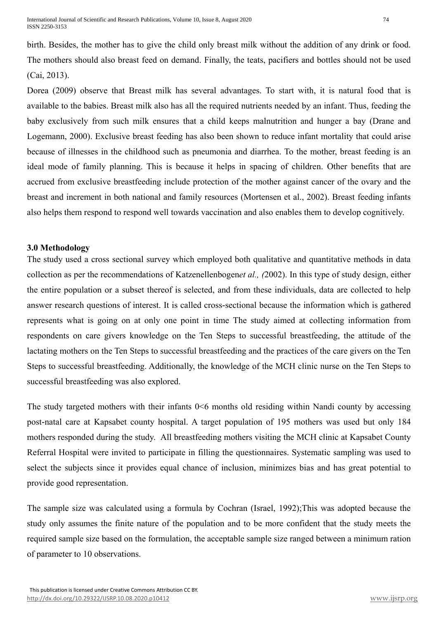birth. Besides, the mother has to give the child only breast milk without the addition of any drink or food. The mothers should also breast feed on demand. Finally, the teats, pacifiers and bottles should not be used (Cai, 2013).

Dorea (2009) observe that Breast milk has several advantages. To start with, it is natural food that is available to the babies. Breast milk also has all the required nutrients needed by an infant. Thus, feeding the baby exclusively from such milk ensures that a child keeps malnutrition and hunger a bay (Drane and Logemann, 2000). Exclusive breast feeding has also been shown to reduce infant mortality that could arise because of illnesses in the childhood such as pneumonia and diarrhea. To the mother, breast feeding is an ideal mode of family planning. This is because it helps in spacing of children. Other benefits that are accrued from exclusive breastfeeding include protection of the mother against cancer of the ovary and the breast and increment in both national and family resources (Mortensen et al., 2002). Breast feeding infants also helps them respond to respond well towards vaccination and also enables them to develop cognitively.

# **3.0 Methodology**

The study used a cross sectional survey which employed both qualitative and quantitative methods in data collection as per the recommendations of Katzenellenbogen*et al., (*2002). In this type of study design, either the entire population or a subset thereof is selected, and from these individuals, data are collected to help answer research questions of interest. It is called cross-sectional because the information which is gathered represents what is going on at only one point in time The study aimed at collecting information from respondents on care givers knowledge on the Ten Steps to successful breastfeeding, the attitude of the lactating mothers on the Ten Steps to successful breastfeeding and the practices of the care givers on the Ten Steps to successful breastfeeding. Additionally, the knowledge of the MCH clinic nurse on the Ten Steps to successful breastfeeding was also explored.

The study targeted mothers with their infants  $0<\theta$  months old residing within Nandi county by accessing post-natal care at Kapsabet county hospital. A target population of 195 mothers was used but only 184 mothers responded during the study. All breastfeeding mothers visiting the MCH clinic at Kapsabet County Referral Hospital were invited to participate in filling the questionnaires. Systematic sampling was used to select the subjects since it provides equal chance of inclusion, minimizes bias and has great potential to provide good representation.

The sample size was calculated using a formula by Cochran (Israel, 1992);This was adopted because the study only assumes the finite nature of the population and to be more confident that the study meets the required sample size based on the formulation, the acceptable sample size ranged between a minimum ration of parameter to 10 observations.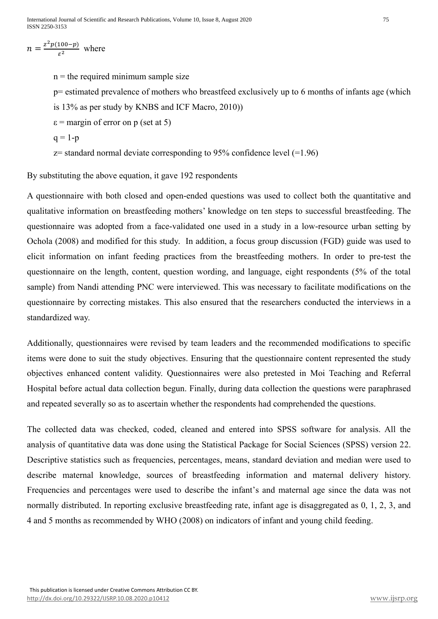$n = \frac{z^2 p(100-p)}{a^2}$  $\frac{100-\mu}{\epsilon^2}$  where

 $n =$  the required minimum sample size

p= estimated prevalence of mothers who breastfeed exclusively up to 6 months of infants age (which

- is 13% as per study by KNBS and ICF Macro, 2010))
- $\varepsilon$  = margin of error on p (set at 5)
- $q = 1-p$

 $z$ = standard normal deviate corresponding to 95% confidence level (=1.96)

By substituting the above equation, it gave 192 respondents

A questionnaire with both closed and open-ended questions was used to collect both the quantitative and qualitative information on breastfeeding mothers' knowledge on ten steps to successful breastfeeding. The questionnaire was adopted from a face-validated one used in a study in a low-resource urban setting by Ochola (2008) and modified for this study. In addition, a focus group discussion (FGD) guide was used to elicit information on infant feeding practices from the breastfeeding mothers. In order to pre-test the questionnaire on the length, content, question wording, and language, eight respondents (5% of the total sample) from Nandi attending PNC were interviewed. This was necessary to facilitate modifications on the questionnaire by correcting mistakes. This also ensured that the researchers conducted the interviews in a standardized way.

Additionally, questionnaires were revised by team leaders and the recommended modifications to specific items were done to suit the study objectives. Ensuring that the questionnaire content represented the study objectives enhanced content validity. Questionnaires were also pretested in Moi Teaching and Referral Hospital before actual data collection begun. Finally, during data collection the questions were paraphrased and repeated severally so as to ascertain whether the respondents had comprehended the questions.

The collected data was checked, coded, cleaned and entered into SPSS software for analysis. All the analysis of quantitative data was done using the Statistical Package for Social Sciences (SPSS) version 22. Descriptive statistics such as frequencies, percentages, means, standard deviation and median were used to describe maternal knowledge, sources of breastfeeding information and maternal delivery history. Frequencies and percentages were used to describe the infant's and maternal age since the data was not normally distributed. In reporting exclusive breastfeeding rate, infant age is disaggregated as 0, 1, 2, 3, and 4 and 5 months as recommended by WHO (2008) on indicators of infant and young child feeding.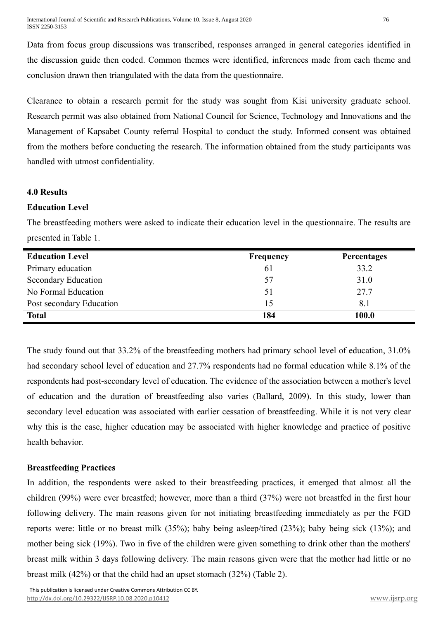Data from focus group discussions was transcribed, responses arranged in general categories identified in the discussion guide then coded. Common themes were identified, inferences made from each theme and conclusion drawn then triangulated with the data from the questionnaire.

Clearance to obtain a research permit for the study was sought from Kisi university graduate school. Research permit was also obtained from National Council for Science, Technology and Innovations and the Management of Kapsabet County referral Hospital to conduct the study. Informed consent was obtained from the mothers before conducting the research. The information obtained from the study participants was handled with utmost confidentiality.

# **4.0 Results**

# **Education Level**

The breastfeeding mothers were asked to indicate their education level in the questionnaire. The results are presented in Table 1.

| <b>Education Level</b>     | <b>Frequency</b> | <b>Percentages</b> |
|----------------------------|------------------|--------------------|
| Primary education          | 61               | 33.2               |
| <b>Secondary Education</b> | 57               | 31.0               |
| No Formal Education        | 51               | 27.7               |
| Post secondary Education   | 15               | 8.1                |
| <b>Total</b>               | 184              | 100.0              |

The study found out that 33.2% of the breastfeeding mothers had primary school level of education, 31.0% had secondary school level of education and 27.7% respondents had no formal education while 8.1% of the respondents had post-secondary level of education. The evidence of the association between a mother's level of education and the duration of breastfeeding also varies (Ballard, 2009). In this study, lower than secondary level education was associated with earlier cessation of breastfeeding. While it is not very clear why this is the case, higher education may be associated with higher knowledge and practice of positive health behavior.

# **Breastfeeding Practices**

In addition, the respondents were asked to their breastfeeding practices, it emerged that almost all the children (99%) were ever breastfed; however, more than a third (37%) were not breastfed in the first hour following delivery. The main reasons given for not initiating breastfeeding immediately as per the FGD reports were: little or no breast milk (35%); baby being asleep/tired (23%); baby being sick (13%); and mother being sick (19%). Two in five of the children were given something to drink other than the mothers' breast milk within 3 days following delivery. The main reasons given were that the mother had little or no breast milk (42%) or that the child had an upset stomach (32%) (Table 2).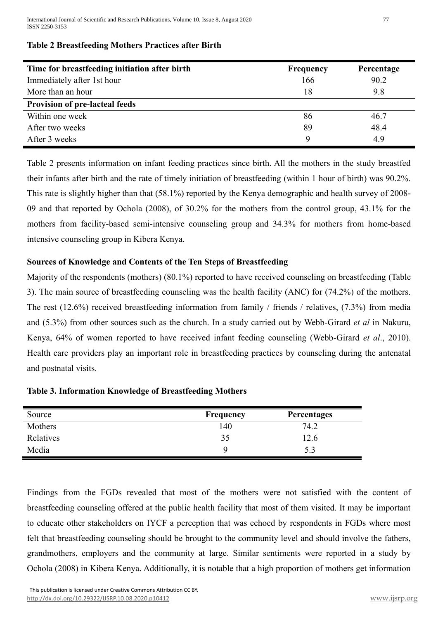International Journal of Scientific and Research Publications, Volume 10, Issue 8, August 2020 77 ISSN 2250-3153

| Time for breastfeeding initiation after birth | <b>Frequency</b> | Percentage |
|-----------------------------------------------|------------------|------------|
| Immediately after 1st hour                    | 166              | 90.2       |
| More than an hour                             | 18               | 9.8        |
| <b>Provision of pre-lacteal feeds</b>         |                  |            |
| Within one week                               | 86               | 46.7       |
| After two weeks                               | 89               | 48.4       |
| After 3 weeks                                 | 9                | 4.9        |

#### **Table 2 Breastfeeding Mothers Practices after Birth**

Table 2 presents information on infant feeding practices since birth. All the mothers in the study breastfed their infants after birth and the rate of timely initiation of breastfeeding (within 1 hour of birth) was 90.2%. This rate is slightly higher than that (58.1%) reported by the Kenya demographic and health survey of 2008- 09 and that reported by Ochola (2008), of 30.2% for the mothers from the control group, 43.1% for the mothers from facility-based semi-intensive counseling group and 34.3% for mothers from home-based intensive counseling group in Kibera Kenya.

# **Sources of Knowledge and Contents of the Ten Steps of Breastfeeding**

Majority of the respondents (mothers) (80.1%) reported to have received counseling on breastfeeding (Table 3). The main source of breastfeeding counseling was the health facility (ANC) for (74.2%) of the mothers. The rest (12.6%) received breastfeeding information from family / friends / relatives, (7.3%) from media and (5.3%) from other sources such as the church. In a study carried out by Webb-Girard *et al* in Nakuru, Kenya, 64% of women reported to have received infant feeding counseling (Webb-Girard *et al*., 2010). Health care providers play an important role in breastfeeding practices by counseling during the antenatal and postnatal visits.

| Source    | Frequency | <b>Percentages</b> |
|-----------|-----------|--------------------|
| Mothers   | 140       | 74.2               |
| Relatives | 35        | 12.6               |
| Media     | u         |                    |

#### **Table 3. Information Knowledge of Breastfeeding Mothers**

Findings from the FGDs revealed that most of the mothers were not satisfied with the content of breastfeeding counseling offered at the public health facility that most of them visited. It may be important to educate other stakeholders on IYCF a perception that was echoed by respondents in FGDs where most felt that breastfeeding counseling should be brought to the community level and should involve the fathers, grandmothers, employers and the community at large. Similar sentiments were reported in a study by Ochola (2008) in Kibera Kenya. Additionally, it is notable that a high proportion of mothers get information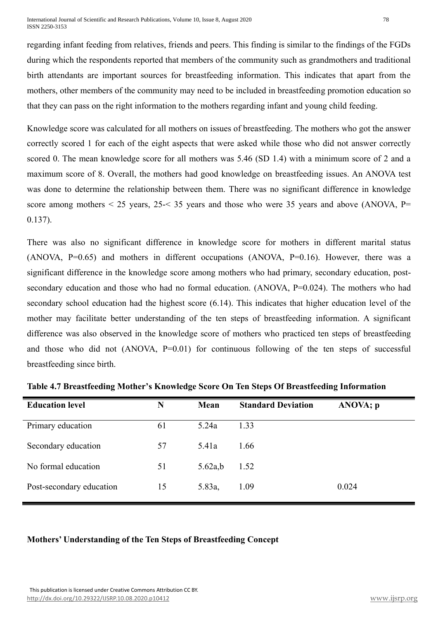regarding infant feeding from relatives, friends and peers. This finding is similar to the findings of the FGDs during which the respondents reported that members of the community such as grandmothers and traditional birth attendants are important sources for breastfeeding information. This indicates that apart from the mothers, other members of the community may need to be included in breastfeeding promotion education so that they can pass on the right information to the mothers regarding infant and young child feeding.

Knowledge score was calculated for all mothers on issues of breastfeeding. The mothers who got the answer correctly scored 1 for each of the eight aspects that were asked while those who did not answer correctly scored 0. The mean knowledge score for all mothers was 5.46 (SD 1.4) with a minimum score of 2 and a maximum score of 8. Overall, the mothers had good knowledge on breastfeeding issues. An ANOVA test was done to determine the relationship between them. There was no significant difference in knowledge score among mothers  $\leq 25$  years, 25 $\leq 35$  years and those who were 35 years and above (ANOVA, P= 0.137).

There was also no significant difference in knowledge score for mothers in different marital status (ANOVA,  $P=0.65$ ) and mothers in different occupations (ANOVA,  $P=0.16$ ). However, there was a significant difference in the knowledge score among mothers who had primary, secondary education, postsecondary education and those who had no formal education. (ANOVA, P=0.024). The mothers who had secondary school education had the highest score (6.14). This indicates that higher education level of the mother may facilitate better understanding of the ten steps of breastfeeding information. A significant difference was also observed in the knowledge score of mothers who practiced ten steps of breastfeeding and those who did not (ANOVA, P=0.01) for continuous following of the ten steps of successful breastfeeding since birth.

| <b>Education level</b>   | N  | Mean    | <b>Standard Deviation</b> | ANOVA; p |
|--------------------------|----|---------|---------------------------|----------|
| Primary education        | 61 | 5.24a   | 1.33                      |          |
| Secondary education      | 57 | 5.41a   | 1.66                      |          |
| No formal education      | 51 | 5.62a,b | 1.52                      |          |
| Post-secondary education | 15 | 5.83a,  | 1.09                      | 0.024    |

**Table 4.7 Breastfeeding Mother's Knowledge Score On Ten Steps Of Breastfeeding Information**

# **Mothers' Understanding of the Ten Steps of Breastfeeding Concept**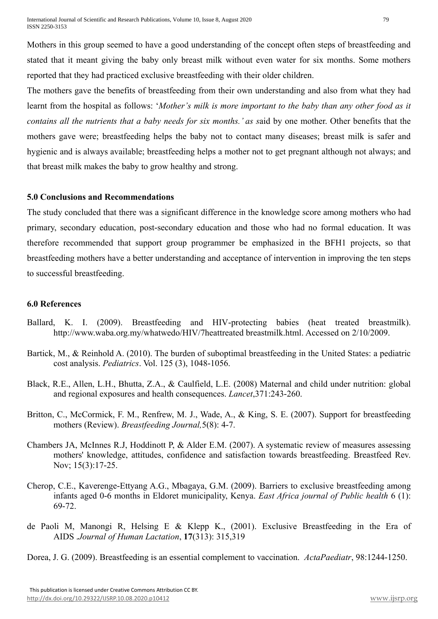Mothers in this group seemed to have a good understanding of the concept often steps of breastfeeding and stated that it meant giving the baby only breast milk without even water for six months. Some mothers reported that they had practiced exclusive breastfeeding with their older children.

The mothers gave the benefits of breastfeeding from their own understanding and also from what they had learnt from the hospital as follows: '*Mother's milk is more important to the baby than any other food as it contains all the nutrients that a baby needs for six months.' as s*aid by one mother. Other benefits that the mothers gave were; breastfeeding helps the baby not to contact many diseases; breast milk is safer and hygienic and is always available; breastfeeding helps a mother not to get pregnant although not always; and that breast milk makes the baby to grow healthy and strong.

# **5.0 Conclusions and Recommendations**

The study concluded that there was a significant difference in the knowledge score among mothers who had primary, secondary education, post-secondary education and those who had no formal education. It was therefore recommended that support group programmer be emphasized in the BFH1 projects, so that breastfeeding mothers have a better understanding and acceptance of intervention in improving the ten steps to successful breastfeeding.

# **6.0 References**

- Ballard, K. I. (2009). Breastfeeding and HIV-protecting babies (heat treated breastmilk). http://www.waba.org.my/whatwedo/HIV/7heattreated breastmilk.html. Accessed on 2/10/2009.
- Bartick, M., & Reinhold A. (2010). The burden of suboptimal breastfeeding in the United States: a pediatric cost analysis. *Pediatrics*. Vol. 125 (3), 1048-1056.
- Black, R.E., Allen, L.H., Bhutta, Z.A., & Caulfield, L.E. (2008) Maternal and child under nutrition: global and regional exposures and health consequences. *Lancet*,371:243-260.
- Britton, C., McCormick, F. M., Renfrew, M. J., Wade, A., & King, S. E. (2007). Support for breastfeeding mothers (Review). *Breastfeeding Journal,*5(8): 4-7.
- Chambers JA, McInnes R.J, Hoddinott P, & Alder E.M. (2007). A systematic review of measures assessing mothers' knowledge, attitudes, confidence and satisfaction towards breastfeeding. Breastfeed Rev. Nov; 15(3):17-25.
- Cherop, C.E., Kaverenge-Ettyang A.G., Mbagaya, G.M. (2009). Barriers to exclusive breastfeeding among infants aged 0-6 months in Eldoret municipality, Kenya. *East Africa journal of Public health* 6 (1): 69-72.
- de Paoli M, Manongi R, Helsing E & Klepp K., (2001). Exclusive Breastfeeding in the Era of AIDS .*Journal of Human Lactation*, **17**(313): 315,319

Dorea, J. G. (2009). Breastfeeding is an essential complement to vaccination. *ActaPaediatr*, 98:1244-1250.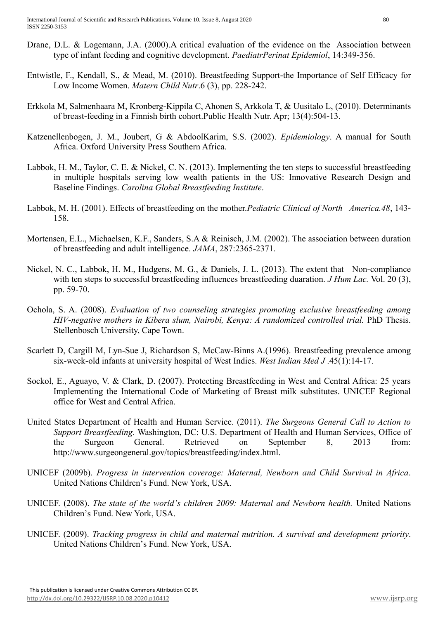- Drane, D.L. & Logemann, J.A. (2000).A critical evaluation of the evidence on the Association between type of infant feeding and cognitive development. *PaediatrPerinat Epidemiol*, 14:349-356.
- Entwistle, F., Kendall, S., & Mead, M. (2010). Breastfeeding Support-the Importance of Self Efficacy for Low Income Women. *Matern Child Nutr*.6 (3), pp. 228-242.
- Erkkola M, Salmenhaara M, Kronberg-Kippila C, Ahonen S, Arkkola T, & Uusitalo L, (2010). Determinants of breast-feeding in a Finnish birth cohort.Public Health Nutr. Apr; 13(4):504-13.
- Katzenellenbogen, J. M., Joubert, G & AbdoolKarim, S.S. (2002). *Epidemiology*. A manual for South Africa. Oxford University Press Southern Africa.
- Labbok, H. M., Taylor, C. E. & Nickel, C. N. (2013). Implementing the ten steps to successful breastfeeding in multiple hospitals serving low wealth patients in the US: Innovative Research Design and Baseline Findings. *Carolina Global Breastfeeding Institute*.
- Labbok, M. H. (2001). Effects of breastfeeding on the mother.*Pediatric Clinical of North America.48*, 143- 158.
- Mortensen, E.L., Michaelsen, K.F., Sanders, S.A & Reinisch, J.M. (2002). The association between duration of breastfeeding and adult intelligence. *JAMA*, 287:2365-2371.
- Nickel, N. C., Labbok, H. M., Hudgens, M. G., & Daniels, J. L. (2013). The extent that Non-compliance with ten steps to successful breastfeeding influences breastfeeding duaration. *J Hum Lac.* Vol. 20 (3), pp. 59-70.
- Ochola, S. A. (2008). *Evaluation of two counseling strategies promoting exclusive breastfeeding among HIV-negative mothers in Kibera slum, Nairobi, Kenya: A randomized controlled trial.* PhD Thesis. Stellenbosch University, Cape Town.
- Scarlett D, Cargill M, Lyn-Sue J, Richardson S, McCaw-Binns A.(1996). Breastfeeding prevalence among six-week-old infants at university hospital of West Indies. *West Indian Med J* .45(1):14-17.
- Sockol, E., Aguayo, V. & Clark, D. (2007). Protecting Breastfeeding in West and Central Africa: 25 years Implementing the International Code of Marketing of Breast milk substitutes. UNICEF Regional office for West and Central Africa.
- United States Department of Health and Human Service. (2011). *The Surgeons General Call to Action to Support Breastfeeding.* Washington, DC: U.S. Department of Health and Human Services, Office of the Surgeon General. Retrieved on September 8, 2013 from: http://www.surgeongeneral.gov/topics/breastfeeding/index.html.
- UNICEF (2009b). *Progress in intervention coverage: Maternal, Newborn and Child Survival in Africa*. United Nations Children's Fund. New York, USA.
- UNICEF. (2008). *The state of the world's children 2009: Maternal and Newborn health.* United Nations Children's Fund. New York, USA.
- UNICEF. (2009). *Tracking progress in child and maternal nutrition. A survival and development priority*. United Nations Children's Fund. New York, USA.